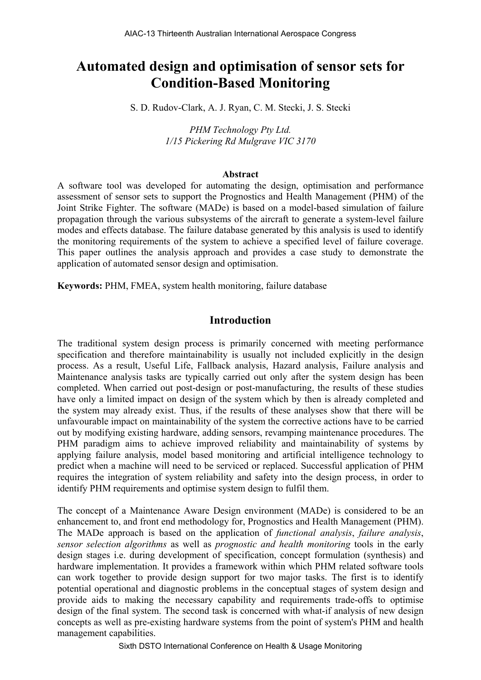# **Automated design and optimisation of sensor sets for Condition-Based Monitoring**

S. D. Rudov-Clark, A. J. Ryan, C. M. Stecki, J. S. Stecki

*PHM Technology Pty Ltd. 1/15 Pickering Rd Mulgrave VIC 3170* 

#### **Abstract**

A software tool was developed for automating the design, optimisation and performance assessment of sensor sets to support the Prognostics and Health Management (PHM) of the Joint Strike Fighter. The software (MADe) is based on a model-based simulation of failure propagation through the various subsystems of the aircraft to generate a system-level failure modes and effects database. The failure database generated by this analysis is used to identify the monitoring requirements of the system to achieve a specified level of failure coverage. This paper outlines the analysis approach and provides a case study to demonstrate the application of automated sensor design and optimisation.

**Keywords:** PHM, FMEA, system health monitoring, failure database

# **Introduction**

The traditional system design process is primarily concerned with meeting performance specification and therefore maintainability is usually not included explicitly in the design process. As a result, Useful Life, Fallback analysis, Hazard analysis, Failure analysis and Maintenance analysis tasks are typically carried out only after the system design has been completed. When carried out post-design or post-manufacturing, the results of these studies have only a limited impact on design of the system which by then is already completed and the system may already exist. Thus, if the results of these analyses show that there will be unfavourable impact on maintainability of the system the corrective actions have to be carried out by modifying existing hardware, adding sensors, revamping maintenance procedures. The PHM paradigm aims to achieve improved reliability and maintainability of systems by applying failure analysis, model based monitoring and artificial intelligence technology to predict when a machine will need to be serviced or replaced. Successful application of PHM requires the integration of system reliability and safety into the design process, in order to identify PHM requirements and optimise system design to fulfil them.

The concept of a Maintenance Aware Design environment (MADe) is considered to be an enhancement to, and front end methodology for, Prognostics and Health Management (PHM). The MADe approach is based on the application of *functional analysis*, *failure analysis*, *sensor selection algorithms* as well as *prognostic and health monitoring* tools in the early design stages i.e. during development of specification, concept formulation (synthesis) and hardware implementation. It provides a framework within which PHM related software tools can work together to provide design support for two major tasks. The first is to identify potential operational and diagnostic problems in the conceptual stages of system design and provide aids to making the necessary capability and requirements trade-offs to optimise design of the final system. The second task is concerned with what-if analysis of new design concepts as well as pre-existing hardware systems from the point of system's PHM and health management capabilities.

Sixth DSTO International Conference on Health & Usage Monitoring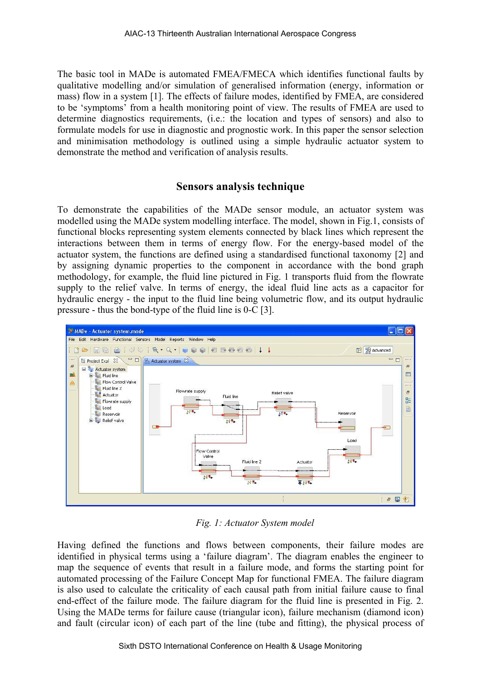The basic tool in MADe is automated FMEA/FMECA which identifies functional faults by qualitative modelling and/or simulation of generalised information (energy, information or mass) flow in a system [1]. The effects of failure modes, identified by FMEA, are considered to be 'symptoms' from a health monitoring point of view. The results of FMEA are used to determine diagnostics requirements, (i.e.: the location and types of sensors) and also to formulate models for use in diagnostic and prognostic work. In this paper the sensor selection and minimisation methodology is outlined using a simple hydraulic actuator system to demonstrate the method and verification of analysis results.

# **Sensors analysis technique**

To demonstrate the capabilities of the MADe sensor module, an actuator system was modelled using the MADe system modelling interface. The model, shown in Fig.1, consists of functional blocks representing system elements connected by black lines which represent the interactions between them in terms of energy flow. For the energy-based model of the actuator system, the functions are defined using a standardised functional taxonomy [2] and by assigning dynamic properties to the component in accordance with the bond graph methodology, for example, the fluid line pictured in Fig. 1 transports fluid from the flowrate supply to the relief valve. In terms of energy, the ideal fluid line acts as a capacitor for hydraulic energy - the input to the fluid line being volumetric flow, and its output hydraulic pressure - thus the bond-type of the fluid line is 0-C [3].



*Fig. 1: Actuator System model* 

Having defined the functions and flows between components, their failure modes are identified in physical terms using a 'failure diagram'. The diagram enables the engineer to map the sequence of events that result in a failure mode, and forms the starting point for automated processing of the Failure Concept Map for functional FMEA. The failure diagram is also used to calculate the criticality of each causal path from initial failure cause to final end-effect of the failure mode. The failure diagram for the fluid line is presented in Fig. 2. Using the MADe terms for failure cause (triangular icon), failure mechanism (diamond icon) and fault (circular icon) of each part of the line (tube and fitting), the physical process of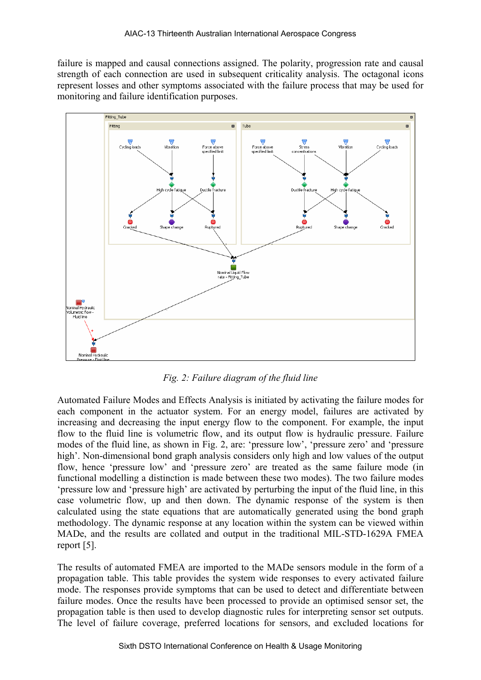failure is mapped and causal connections assigned. The polarity, progression rate and causal strength of each connection are used in subsequent criticality analysis. The octagonal icons represent losses and other symptoms associated with the failure process that may be used for monitoring and failure identification purposes.



*Fig. 2: Failure diagram of the fluid line* 

Automated Failure Modes and Effects Analysis is initiated by activating the failure modes for each component in the actuator system. For an energy model, failures are activated by increasing and decreasing the input energy flow to the component. For example, the input flow to the fluid line is volumetric flow, and its output flow is hydraulic pressure. Failure modes of the fluid line, as shown in Fig. 2, are: 'pressure low', 'pressure zero' and 'pressure high'. Non-dimensional bond graph analysis considers only high and low values of the output flow, hence 'pressure low' and 'pressure zero' are treated as the same failure mode (in functional modelling a distinction is made between these two modes). The two failure modes 'pressure low and 'pressure high' are activated by perturbing the input of the fluid line, in this case volumetric flow, up and then down. The dynamic response of the system is then calculated using the state equations that are automatically generated using the bond graph methodology. The dynamic response at any location within the system can be viewed within MADe, and the results are collated and output in the traditional MIL-STD-1629A FMEA report [5].

The results of automated FMEA are imported to the MADe sensors module in the form of a propagation table. This table provides the system wide responses to every activated failure mode. The responses provide symptoms that can be used to detect and differentiate between failure modes. Once the results have been processed to provide an optimised sensor set, the propagation table is then used to develop diagnostic rules for interpreting sensor set outputs. The level of failure coverage, preferred locations for sensors, and excluded locations for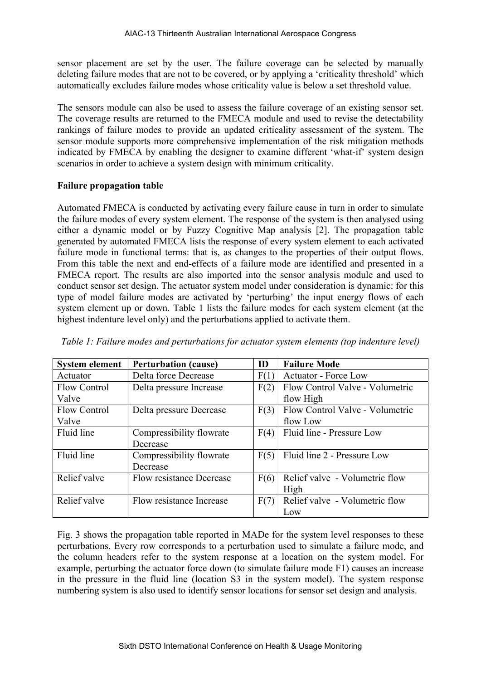sensor placement are set by the user. The failure coverage can be selected by manually deleting failure modes that are not to be covered, or by applying a 'criticality threshold' which automatically excludes failure modes whose criticality value is below a set threshold value.

The sensors module can also be used to assess the failure coverage of an existing sensor set. The coverage results are returned to the FMECA module and used to revise the detectability rankings of failure modes to provide an updated criticality assessment of the system. The sensor module supports more comprehensive implementation of the risk mitigation methods indicated by FMECA by enabling the designer to examine different 'what-if' system design scenarios in order to achieve a system design with minimum criticality.

### **Failure propagation table**

Automated FMECA is conducted by activating every failure cause in turn in order to simulate the failure modes of every system element. The response of the system is then analysed using either a dynamic model or by Fuzzy Cognitive Map analysis [2]. The propagation table generated by automated FMECA lists the response of every system element to each activated failure mode in functional terms: that is, as changes to the properties of their output flows. From this table the next and end-effects of a failure mode are identified and presented in a FMECA report. The results are also imported into the sensor analysis module and used to conduct sensor set design. The actuator system model under consideration is dynamic: for this type of model failure modes are activated by 'perturbing' the input energy flows of each system element up or down. Table 1 lists the failure modes for each system element (at the highest indenture level only) and the perturbations applied to activate them.

| <b>System element</b> | <b>Perturbation (cause)</b>     | ID   | <b>Failure Mode</b>             |
|-----------------------|---------------------------------|------|---------------------------------|
| Actuator              | Delta force Decrease            | F(1) | <b>Actuator - Force Low</b>     |
| <b>Flow Control</b>   | Delta pressure Increase         | F(2) | Flow Control Valve - Volumetric |
| Valve                 |                                 |      | flow High                       |
| <b>Flow Control</b>   | Delta pressure Decrease         | F(3) | Flow Control Valve - Volumetric |
| Valve                 |                                 |      | flow Low                        |
| Fluid line            | Compressibility flowrate        | F(4) | Fluid line - Pressure Low       |
|                       | Decrease                        |      |                                 |
| Fluid line            | Compressibility flowrate        | F(5) | Fluid line 2 - Pressure Low     |
|                       | Decrease                        |      |                                 |
| Relief valve          | <b>Flow resistance Decrease</b> | F(6) | Relief valve - Volumetric flow  |
|                       |                                 |      | High                            |
| Relief valve          | Flow resistance Increase        | F(7) | Relief valve - Volumetric flow  |
|                       |                                 |      | Low                             |

*Table 1: Failure modes and perturbations for actuator system elements (top indenture level)* 

Fig. 3 shows the propagation table reported in MADe for the system level responses to these perturbations. Every row corresponds to a perturbation used to simulate a failure mode, and the column headers refer to the system response at a location on the system model. For example, perturbing the actuator force down (to simulate failure mode F1) causes an increase in the pressure in the fluid line (location S3 in the system model). The system response numbering system is also used to identify sensor locations for sensor set design and analysis.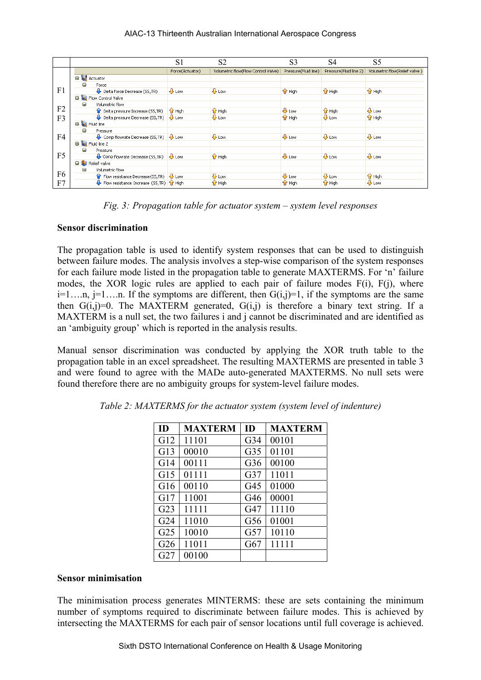#### AIAC-13 Thirteenth Australian International Aerospace Congress

|                |                                                             | S <sub>1</sub>  | S <sub>2</sub>                                                                                                | S <sub>3</sub>          | S <sub>4</sub>          | S5                          |
|----------------|-------------------------------------------------------------|-----------------|---------------------------------------------------------------------------------------------------------------|-------------------------|-------------------------|-----------------------------|
|                |                                                             | Force(Actuator) | Volumetric flow(Flow Control Valve) Pressure(Fluid line) Pressure(Fluid line 2) Volumetric flow(Relief valve) |                         |                         |                             |
|                | <b>B Actuator</b>                                           |                 |                                                                                                               |                         |                         |                             |
|                | $\equiv$<br>Force                                           |                 |                                                                                                               |                         |                         |                             |
| F1             | $\bigoplus$ Delta force Decrease (SS, TR)                   | $\bigoplus$ Low | $+1$ Low                                                                                                      | $\hat{I}$ High          | $\hat{\mathbf{T}}$ High | $\hat{\mathbf{T}}$ High     |
|                | <b>Red</b> Flow Control Valve<br>$\blacksquare$             |                 |                                                                                                               |                         |                         |                             |
|                | Volumetric flow<br>Θ                                        |                 |                                                                                                               |                         |                         |                             |
| F <sub>2</sub> | <b>C</b> Delta pressure Increase (SS, TR)                   | <b>Tr</b> High  | $\mathbf{\hat{T}}$ High                                                                                       | $\bigoplus$ Low         | <b>Tr</b> High          | $\overline{\mathbf{B}}$ Low |
| F <sub>3</sub> | $\bigoplus$ Delta pressure Decrease (SS, TR)                | $\bigcup$ Low   | $+1$ Low                                                                                                      | $\hat{I}$ High          | $\bigoplus$ Low         | $\hat{\mathbf{T}}$ High     |
|                | <b>B Fluid line</b>                                         |                 |                                                                                                               |                         |                         |                             |
|                | $\blacksquare$<br>Pressure                                  |                 |                                                                                                               |                         |                         |                             |
| F4             | Comp flowrate Decrease (SS, TR) & Low                       |                 | $+1$ Low                                                                                                      | $+1$ Low                | $+1$ Low                | $+1$ Low                    |
|                | <b>B k</b> Fluid line 2                                     |                 |                                                                                                               |                         |                         |                             |
|                | 日<br>Pressure                                               |                 |                                                                                                               |                         |                         |                             |
| F5             | $\bigcup$ Comp flowrate Decrease (SS, TR) $\bigcup$ Low     |                 | $\hat{\mathbf{T}}$ High                                                                                       | $\bigoplus$ Low         | $+1$ Low                | $\overline{\mathbf{P}}$ Low |
|                | Relief valve<br>Θ                                           |                 |                                                                                                               |                         |                         |                             |
|                | Volumetric flow<br>Θ                                        |                 |                                                                                                               |                         |                         |                             |
| F6             | <sup>1</sup> Flow resistance Decrease (SS, TR) <b>J</b> Low |                 | $+1$ Low                                                                                                      | $+1$ Low                | $+1$ Low                | $\mathbf{\hat{u}}$ High     |
| F7             | $\bigoplus$ Flow resistance Increase (SS,TR) $\bigcap$ High |                 | $\mathbf{\hat{T}}$ High                                                                                       | $\mathbf{\hat{T}}$ High | $\hat{\mathbf{T}}$ High | $+1$ Low                    |

*Fig. 3: Propagation table for actuator system – system level responses* 

#### **Sensor discrimination**

The propagation table is used to identify system responses that can be used to distinguish between failure modes. The analysis involves a step-wise comparison of the system responses for each failure mode listed in the propagation table to generate MAXTERMS. For 'n' failure modes, the XOR logic rules are applied to each pair of failure modes F(i), F(j), where  $i=1,...n$ ,  $j=1,...n$ . If the symptoms are different, then  $G(i,j)=1$ , if the symptoms are the same then  $G(i,j)=0$ . The MAXTERM generated,  $G(i,j)$  is therefore a binary text string. If a MAXTERM is a null set, the two failures i and j cannot be discriminated and are identified as an 'ambiguity group' which is reported in the analysis results.

Manual sensor discrimination was conducted by applying the XOR truth table to the propagation table in an excel spreadsheet. The resulting MAXTERMS are presented in table 3 and were found to agree with the MADe auto-generated MAXTERMS. No null sets were found therefore there are no ambiguity groups for system-level failure modes.

| <b>ID</b>       | <b>MAXTERM</b> | ID              | <b>MAXTERM</b> |
|-----------------|----------------|-----------------|----------------|
| G12             | 11101          | G <sub>34</sub> | 00101          |
| G13             | 00010          | G <sub>35</sub> | 01101          |
| G14             | 00111          | G <sub>36</sub> | 00100          |
| G15             | 01111          | G <sub>37</sub> | 11011          |
| G16             | 00110          | G <sub>45</sub> | 01000          |
| G17             | 11001          | G46             | 00001          |
| G23             | 11111          | G <sub>47</sub> | 11110          |
| G <sub>24</sub> | 11010          | G56             | 01001          |
| G <sub>25</sub> | 10010          | G57             | 10110          |
| G <sub>26</sub> | 11011          | G67             | 11111          |
| G27             | 00100          |                 |                |

*Table 2: MAXTERMS for the actuator system (system level of indenture)* 

### **Sensor minimisation**

The minimisation process generates MINTERMS: these are sets containing the minimum number of symptoms required to discriminate between failure modes. This is achieved by intersecting the MAXTERMS for each pair of sensor locations until full coverage is achieved.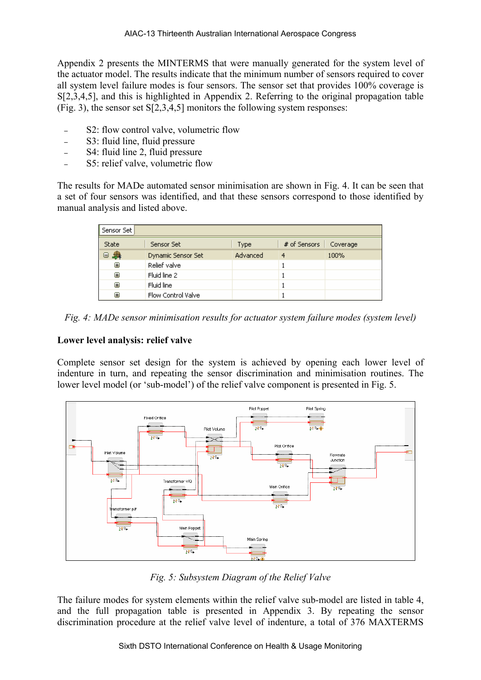Appendix 2 presents the MINTERMS that were manually generated for the system level of the actuator model. The results indicate that the minimum number of sensors required to cover all system level failure modes is four sensors. The sensor set that provides 100% coverage is S[2,3,4,5], and this is highlighted in Appendix 2. Referring to the original propagation table (Fig. 3), the sensor set S[2,3,4,5] monitors the following system responses:

- S2: flow control valve, volumetric flow
- S3: fluid line, fluid pressure
- S4: fluid line 2, fluid pressure
- S5: relief valve, volumetric flow

The results for MADe automated sensor minimisation are shown in Fig. 4. It can be seen that a set of four sensors was identified, and that these sensors correspond to those identified by manual analysis and listed above.

| Sensor Set |                    |          |              |          |  |  |  |  |  |  |
|------------|--------------------|----------|--------------|----------|--|--|--|--|--|--|
| State      | Sensor Set         | Type     | # of Sensors | Coverage |  |  |  |  |  |  |
| 母<br>Θ     | Dynamic Sensor Set | Advanced | 4            | 100%     |  |  |  |  |  |  |
| œ          | Relief valve       |          |              |          |  |  |  |  |  |  |
| 匣          | Fluid line 2       |          |              |          |  |  |  |  |  |  |
| 田          | Fluid line         |          |              |          |  |  |  |  |  |  |
| Œ          | Flow Control Valve |          |              |          |  |  |  |  |  |  |

*Fig. 4: MADe sensor minimisation results for actuator system failure modes (system level)* 

# **Lower level analysis: relief valve**

Complete sensor set design for the system is achieved by opening each lower level of indenture in turn, and repeating the sensor discrimination and minimisation routines. The lower level model (or 'sub-model') of the relief valve component is presented in Fig. 5.



*Fig. 5: Subsystem Diagram of the Relief Valve* 

The failure modes for system elements within the relief valve sub-model are listed in table 4, and the full propagation table is presented in Appendix 3. By repeating the sensor discrimination procedure at the relief valve level of indenture, a total of 376 MAXTERMS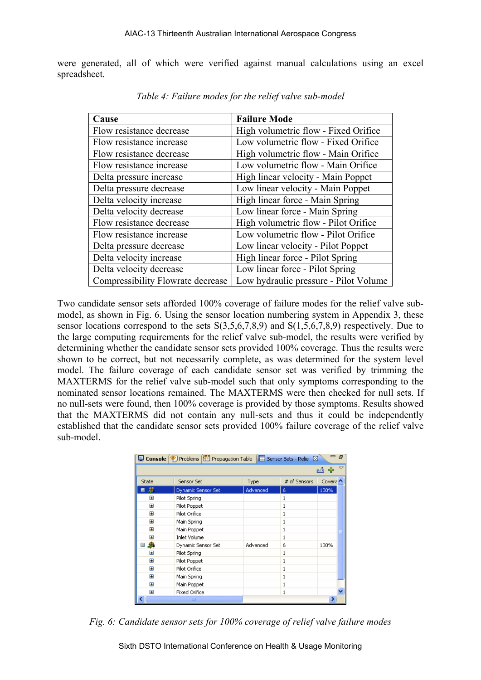were generated, all of which were verified against manual calculations using an excel spreadsheet.

| Cause                             | <b>Failure Mode</b>                   |
|-----------------------------------|---------------------------------------|
| Flow resistance decrease          | High volumetric flow - Fixed Orifice  |
| Flow resistance increase          | Low volumetric flow - Fixed Orifice   |
| Flow resistance decrease          | High volumetric flow - Main Orifice   |
| Flow resistance increase          | Low volumetric flow - Main Orifice    |
| Delta pressure increase           | High linear velocity - Main Poppet    |
| Delta pressure decrease           | Low linear velocity - Main Poppet     |
| Delta velocity increase           | High linear force - Main Spring       |
| Delta velocity decrease           | Low linear force - Main Spring        |
| Flow resistance decrease          | High volumetric flow - Pilot Orifice  |
| Flow resistance increase          | Low volumetric flow - Pilot Orifice   |
| Delta pressure decrease           | Low linear velocity - Pilot Poppet    |
| Delta velocity increase           | High linear force - Pilot Spring      |
| Delta velocity decrease           | Low linear force - Pilot Spring       |
| Compressibility Flowrate decrease | Low hydraulic pressure - Pilot Volume |

*Table 4: Failure modes for the relief valve sub-model* 

Two candidate sensor sets afforded 100% coverage of failure modes for the relief valve submodel, as shown in Fig. 6. Using the sensor location numbering system in Appendix 3, these sensor locations correspond to the sets S(3,5,6,7,8,9) and S(1,5,6,7,8,9) respectively. Due to the large computing requirements for the relief valve sub-model, the results were verified by determining whether the candidate sensor sets provided 100% coverage. Thus the results were shown to be correct, but not necessarily complete, as was determined for the system level model. The failure coverage of each candidate sensor set was verified by trimming the MAXTERMS for the relief valve sub-model such that only symptoms corresponding to the nominated sensor locations remained. The MAXTERMS were then checked for null sets. If no null-sets were found, then 100% coverage is provided by those symptoms. Results showed that the MAXTERMS did not contain any null-sets and thus it could be independently established that the candidate sensor sets provided 100% failure coverage of the relief valve sub-model.

|                                 | ■ Console   ① Problems   図 Propagation Table |          | Sensor Sets - Relie & |          |  |
|---------------------------------|----------------------------------------------|----------|-----------------------|----------|--|
|                                 |                                              |          |                       |          |  |
| State                           | Sensor Set                                   | Type     | # of Sensors          | Covera ^ |  |
|                                 | Dynamic Sensor Set                           | Advanced | 6                     | 100%     |  |
| $\mathbf \overline{\mathbf{H}}$ | Pilot Spring                                 |          |                       |          |  |
| ⊞                               | Pilot Poppet                                 |          |                       |          |  |
| $\mathbf \Xi$                   | Pilot Orifice                                |          |                       |          |  |
| $\mathbf \Xi$                   | Main Spring                                  |          |                       |          |  |
| $\overline{+}$                  | Main Poppet                                  |          |                       |          |  |
| $\mathbf{H}$                    | <b>Inlet Volume</b>                          |          | 1                     |          |  |
| 彝<br>Ξ                          | Dynamic Sensor Set                           | Advanced | 6                     | 100%     |  |
| $\mathbf \overline{\mathbf{H}}$ | Pilot Spring                                 |          |                       |          |  |
| $\mathbf \Xi$                   | Pilot Poppet                                 |          |                       |          |  |
| $\mathbf \Xi$                   | Pilot Orifice                                |          |                       |          |  |
| ⊞                               | Main Spring                                  |          |                       |          |  |
| $\overline{+}$                  | Main Poppet                                  |          |                       |          |  |
| $\mathbf{H}$                    | <b>Fixed Orifice</b>                         |          |                       |          |  |
|                                 | ШI                                           |          |                       | ≯        |  |

*Fig. 6: Candidate sensor sets for 100% coverage of relief valve failure modes* 

Sixth DSTO International Conference on Health & Usage Monitoring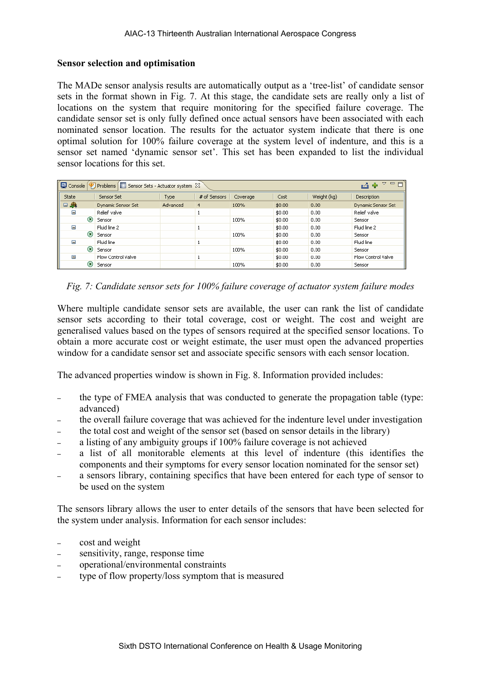#### **Sensor selection and optimisation**

The MADe sensor analysis results are automatically output as a 'tree-list' of candidate sensor sets in the format shown in Fig. 7. At this stage, the candidate sets are really only a list of locations on the system that require monitoring for the specified failure coverage. The candidate sensor set is only fully defined once actual sensors have been associated with each nominated sensor location. The results for the actuator system indicate that there is one optimal solution for 100% failure coverage at the system level of indenture, and this is a sensor set named 'dynamic sensor set'. This set has been expanded to list the individual sensor locations for this set.

| □ Console ② Problems <b>III Sensor Sets - Actuator system</b> 8 |         |                           |          |                         |      |        |             |                           |  |
|-----------------------------------------------------------------|---------|---------------------------|----------|-------------------------|------|--------|-------------|---------------------------|--|
| State                                                           |         | Sensor Set                | Type     | # of Sensors   Coverage |      | Cost   | Weight (kg) | <b>Description</b>        |  |
| 鼎<br>⊟                                                          |         | Dynamic Sensor Set        | Advanced | $\overline{4}$          | 100% | \$0.00 | 0.00        | Dynamic Sensor Set        |  |
| Θ                                                               |         | Relief valve              |          |                         |      | \$0.00 | 0.00        | Relief valve              |  |
|                                                                 | $\circ$ | Sensor                    |          |                         | 100% | \$0.00 | 0.00        | Sensor                    |  |
| Ξ                                                               |         | Fluid line 2              |          |                         |      | \$0.00 | 0.00        | Fluid line 2              |  |
|                                                                 | G)      | Sensor                    |          |                         | 100% | \$0.00 | 0.00        | Sensor                    |  |
| Ξ                                                               |         | Fluid line                |          |                         |      | \$0.00 | 0.00        | Fluid line                |  |
|                                                                 | ⊛       | Sensor                    |          |                         | 100% | \$0.00 | 0.00        | Sensor                    |  |
| Ξ                                                               |         | <b>Flow Control Valve</b> |          |                         |      | \$0.00 | 0.00        | <b>Flow Control Valve</b> |  |
|                                                                 | 0       | Sensor                    |          |                         | 100% | \$0.00 | 0.00        | Sensor                    |  |

*Fig. 7: Candidate sensor sets for 100% failure coverage of actuator system failure modes* 

Where multiple candidate sensor sets are available, the user can rank the list of candidate sensor sets according to their total coverage, cost or weight. The cost and weight are generalised values based on the types of sensors required at the specified sensor locations. To obtain a more accurate cost or weight estimate, the user must open the advanced properties window for a candidate sensor set and associate specific sensors with each sensor location.

The advanced properties window is shown in Fig. 8. Information provided includes:

- the type of FMEA analysis that was conducted to generate the propagation table (type: advanced)
- the overall failure coverage that was achieved for the indenture level under investigation
- the total cost and weight of the sensor set (based on sensor details in the library)
- a listing of any ambiguity groups if 100% failure coverage is not achieved
- a list of all monitorable elements at this level of indenture (this identifies the components and their symptoms for every sensor location nominated for the sensor set)
- a sensors library, containing specifics that have been entered for each type of sensor to be used on the system

The sensors library allows the user to enter details of the sensors that have been selected for the system under analysis. Information for each sensor includes:

- cost and weight
- sensitivity, range, response time
- operational/environmental constraints
- type of flow property/loss symptom that is measured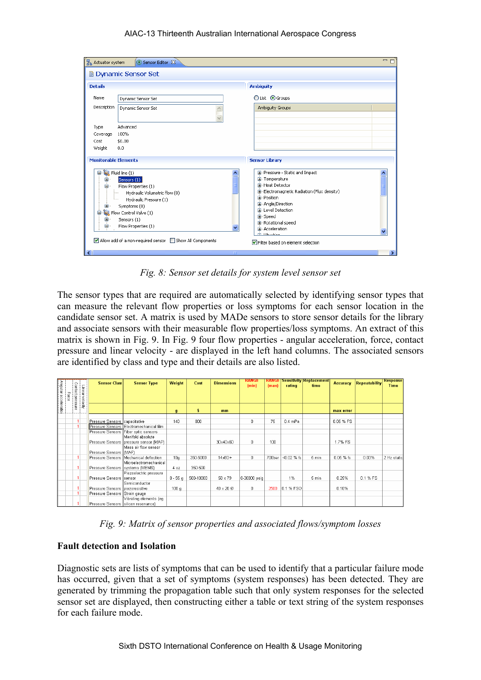#### AIAC-13 Thirteenth Australian International Aerospace Congress

| Z Actuator system                | Sensor Editor &                                                                                                                                                                                                           | $=$ n                                                                                                                                                                                                                                                             |  |
|----------------------------------|---------------------------------------------------------------------------------------------------------------------------------------------------------------------------------------------------------------------------|-------------------------------------------------------------------------------------------------------------------------------------------------------------------------------------------------------------------------------------------------------------------|--|
|                                  | <b>Dynamic Sensor Set</b>                                                                                                                                                                                                 |                                                                                                                                                                                                                                                                   |  |
| <b>Details</b>                   |                                                                                                                                                                                                                           | <b>Ambiguity</b>                                                                                                                                                                                                                                                  |  |
| Name                             | Dynamic Sensor Set                                                                                                                                                                                                        | ○List ● Groups                                                                                                                                                                                                                                                    |  |
| Description                      | Dynamic Sensor Set                                                                                                                                                                                                        | Ambiguity Groups                                                                                                                                                                                                                                                  |  |
| Type                             | Advanced                                                                                                                                                                                                                  |                                                                                                                                                                                                                                                                   |  |
| Coverage                         | 100%                                                                                                                                                                                                                      |                                                                                                                                                                                                                                                                   |  |
| Cost                             | \$0.00                                                                                                                                                                                                                    |                                                                                                                                                                                                                                                                   |  |
| Weight                           | 0.0                                                                                                                                                                                                                       |                                                                                                                                                                                                                                                                   |  |
| <b>Monitorable Elements</b>      |                                                                                                                                                                                                                           | <b>Sensor Library</b>                                                                                                                                                                                                                                             |  |
| ⊟<br>⊕<br>⊟∙<br>⊞<br>白<br>⊞<br>Θ | $\frac{8}{3}$ Fluid line (1)<br>Sensors (1)<br>Flow Properties (1)<br>Hydraulic Volumetric flow (0)<br>Hydraulic Pressure (1)<br>Symptoms (0)<br><b>Page Flow Control Valve (1)</b><br>Sensors (1)<br>Flow Properties (1) | E-Pressure - Static and Impact<br>E-Temperature<br><b>E</b> -Heat Detector<br>国- Electromagnetic Radiation (Flux density)<br>E-Position<br><b>E</b> -Angle/Direction<br>E-Level Detection<br>E-Speed<br><b>E</b> -Rotational speed<br>Ei-Acceleration<br>க் பட்டன |  |
|                                  | MAllow add of a non-required sensor Show All Components                                                                                                                                                                   | Filter based on element selection                                                                                                                                                                                                                                 |  |
| k                                | <b>TITLE</b>                                                                                                                                                                                                              |                                                                                                                                                                                                                                                                   |  |

*Fig. 8: Sensor set details for system level sensor set* 

The sensor types that are required are automatically selected by identifying sensor types that can measure the relevant flow properties or loss symptoms for each sensor location in the candidate sensor set. A matrix is used by MADe sensors to store sensor details for the library and associate sensors with their measurable flow properties/loss symptoms. An extract of this matrix is shown in Fig. 9. In Fig. 9 four flow properties - angular acceleration, force, contact pressure and linear velocity - are displayed in the left hand columns. The associated sensors are identified by class and type and their details are also listed.

|                      |       |                  |                | <b>Sensor Class</b>                   | <b>Sensor Type</b>                       | Weight         | Cost      | <b>Dimensions</b> | <b>RANGE</b><br>(min) | <b>RANGE</b><br>(max) | rating     | <b>Sensitivity Replacement</b><br>time | <b>Accuracy</b> | <b>Repeatability</b> | <b>Response</b><br><b>Time</b> |
|----------------------|-------|------------------|----------------|---------------------------------------|------------------------------------------|----------------|-----------|-------------------|-----------------------|-----------------------|------------|----------------------------------------|-----------------|----------------------|--------------------------------|
|                      |       |                  |                |                                       |                                          |                |           |                   |                       |                       |            |                                        |                 |                      |                                |
| Angular acceleration | eolog | Contact pressure | Linearvelocity |                                       |                                          |                |           |                   |                       |                       |            |                                        |                 |                      |                                |
|                      |       |                  |                |                                       |                                          |                |           |                   |                       |                       |            |                                        |                 |                      |                                |
|                      |       |                  |                |                                       |                                          | $\mathfrak{g}$ | s.        | mm                |                       |                       |            |                                        | max error       |                      |                                |
|                      |       |                  |                | Pressure Sensors capacitative         |                                          | 140            | 800       |                   | 0                     | 75                    | $0.4$ mPa  |                                        | 0.05 % FS       |                      |                                |
|                      |       |                  |                |                                       | Pressure Sensors Electromechanical film  |                |           |                   |                       |                       |            |                                        |                 |                      |                                |
|                      |       |                  |                |                                       | Pressure Sensors TFiber optic sensors    |                |           |                   |                       |                       |            |                                        |                 |                      |                                |
|                      |       |                  |                |                                       | Manifold absolute                        |                |           |                   |                       |                       |            |                                        |                 |                      |                                |
|                      |       |                  |                |                                       | Pressure Sensors   pressure sensor (MAP) |                |           | 30x40x60          | 0.                    | 100                   |            |                                        | 1.7% FS         |                      |                                |
|                      |       |                  |                | Pressure Sensors ((MAF)               | Mass air flow sensor                     |                |           |                   |                       |                       |            |                                        |                 |                      |                                |
|                      |       |                  |                |                                       | Pressure Sensors   Mechanical deflection | 10q            | 350-5000  | $14x8D+$          | 0.                    | 700bar                | <0.02 % fs | 5 min                                  | 0.05 % fs       | 0.03%                | 2 Hz static                    |
|                      |       |                  |                | Pressure Sensors   systems (MEMS)     | l Microelectromechanical l               | 40z            | 350-500   |                   |                       |                       |            |                                        |                 |                      |                                |
|                      |       |                  |                |                                       | Piezoelectric pressure                   |                |           |                   |                       |                       |            |                                        |                 |                      |                                |
|                      |       | -4               |                | Pressure Sensors                      | Isensor                                  | $8 - 55q$      | 500-10000 | 58 x 79           | 0-30000 psiq          |                       | 1%         | 5 min                                  | 0.25%           | 0.1 % FS             |                                |
|                      |       |                  |                |                                       | Semiconductor                            |                |           |                   |                       |                       |            |                                        |                 |                      |                                |
|                      |       |                  |                | Pressure Sensors Ipiezoresistive      |                                          | 100q           |           | 40 x 20 Ø         | 0.                    | 2500                  | 0.1 % FSO  |                                        | 0.10%           |                      |                                |
|                      |       |                  |                | Pressure Sensors Strain gauge         |                                          |                |           |                   |                       |                       |            |                                        |                 |                      |                                |
|                      |       |                  |                |                                       | Vibrating elements (eg                   |                |           |                   |                       |                       |            |                                        |                 |                      |                                |
|                      |       |                  |                | Pressure Sensors   silicon resonance) |                                          |                |           |                   |                       |                       |            |                                        |                 |                      |                                |

*Fig. 9: Matrix of sensor properties and associated flows/symptom losses* 

#### **Fault detection and Isolation**

Diagnostic sets are lists of symptoms that can be used to identify that a particular failure mode has occurred, given that a set of symptoms (system responses) has been detected. They are generated by trimming the propagation table such that only system responses for the selected sensor set are displayed, then constructing either a table or text string of the system responses for each failure mode.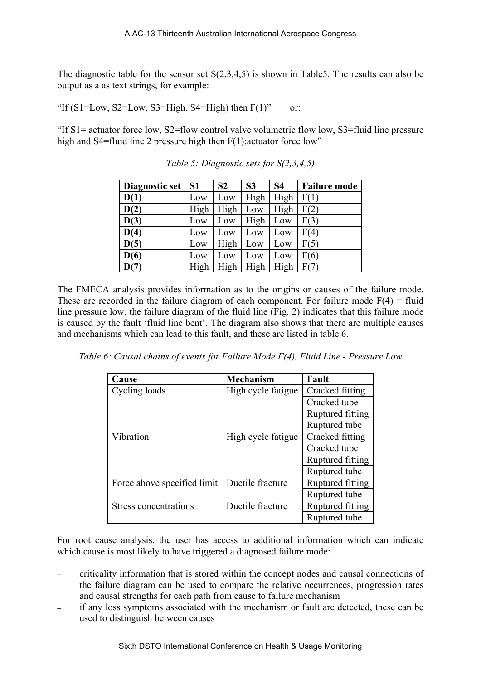The diagnostic table for the sensor set  $S(2,3,4,5)$  is shown in Table5. The results can also be output as a as text strings, for example:

"If  $(S1=Low, S2=Low, S3=High, S4=High)$  then  $F(1)$ " or:

"If S1= actuator force low, S2=flow control valve volumetric flow low, S3=fluid line pressure high and S4=fluid line 2 pressure high then F(1): actuator force low"

| Diagnostic set | S <sub>1</sub> | S <sub>2</sub> | S <sub>3</sub> | <b>S4</b> | <b>Failure mode</b> |
|----------------|----------------|----------------|----------------|-----------|---------------------|
| D(1)           | Low            | Low            | High           | High      | F(1)                |
| D(2)           | High           | High           | Low            | High      | F(2)                |
| D(3)           | Low            | Low            | High           | Low       | F(3)                |
| D(4)           | Low            | Low            | Low            | Low       | F(4)                |
| D(5)           | Low            | High           | Low            | Low       | F(5)                |
| D(6)           | Low            | Low            | Low            | Low       | F(6)                |
| D(7)           | High           | High           | High           | High      | F(7)                |

*Table 5: Diagnostic sets for S(2,3,4,5)* 

The FMECA analysis provides information as to the origins or causes of the failure mode. These are recorded in the failure diagram of each component. For failure mode  $F(4) =$  fluid line pressure low, the failure diagram of the fluid line (Fig. 2) indicates that this failure mode is caused by the fault 'fluid line bent'. The diagram also shows that there are multiple causes and mechanisms which can lead to this fault, and these are listed in table 6.

*Table 6: Causal chains of events for Failure Mode F(4), Fluid Line - Pressure Low* 

| Cause                        | <b>Mechanism</b>   | Fault            |
|------------------------------|--------------------|------------------|
| Cycling loads                | High cycle fatigue | Cracked fitting  |
|                              |                    | Cracked tube     |
|                              |                    | Ruptured fitting |
|                              |                    | Ruptured tube    |
| Vibration                    | High cycle fatigue | Cracked fitting  |
|                              |                    | Cracked tube     |
|                              |                    | Ruptured fitting |
|                              |                    | Ruptured tube    |
| Force above specified limit  | Ductile fracture   | Ruptured fitting |
|                              |                    | Ruptured tube    |
| <b>Stress concentrations</b> | Ductile fracture   | Ruptured fitting |
|                              |                    | Ruptured tube    |

For root cause analysis, the user has access to additional information which can indicate which cause is most likely to have triggered a diagnosed failure mode:

- criticality information that is stored within the concept nodes and causal connections of the failure diagram can be used to compare the relative occurrences, progression rates and causal strengths for each path from cause to failure mechanism
- if any loss symptoms associated with the mechanism or fault are detected, these can be used to distinguish between causes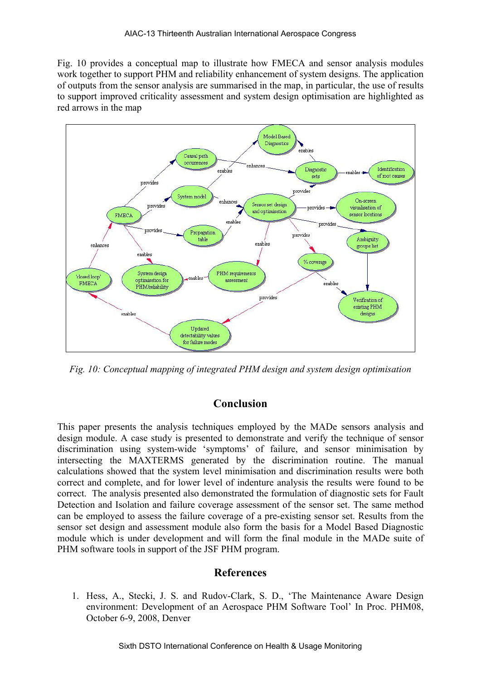Fig. 10 provides a conceptual map to illustrate how FMECA and sensor analysis modules work together to support PHM and reliability enhancement of system designs. The application of outputs from the sensor analysis are summarised in the map, in particular, the use of results to support improved criticality assessment and system design optimisation are highlighted as red arrows in the map



*Fig. 10: Conceptual mapping of integrated PHM design and system design optimisation* 

# **Conclusion**

This paper presents the analysis techniques employed by the MADe sensors analysis and design module. A case study is presented to demonstrate and verify the technique of sensor discrimination using system-wide 'symptoms' of failure, and sensor minimisation by intersecting the MAXTERMS generated by the discrimination routine. The manual calculations showed that the system level minimisation and discrimination results were both correct and complete, and for lower level of indenture analysis the results were found to be correct. The analysis presented also demonstrated the formulation of diagnostic sets for Fault Detection and Isolation and failure coverage assessment of the sensor set. The same method can be employed to assess the failure coverage of a pre-existing sensor set. Results from the sensor set design and assessment module also form the basis for a Model Based Diagnostic module which is under development and will form the final module in the MADe suite of PHM software tools in support of the JSF PHM program.

# **References**

1. Hess, A., Stecki, J. S. and Rudov-Clark, S. D., 'The Maintenance Aware Design environment: Development of an Aerospace PHM Software Tool' In Proc. PHM08, October 6-9, 2008, Denver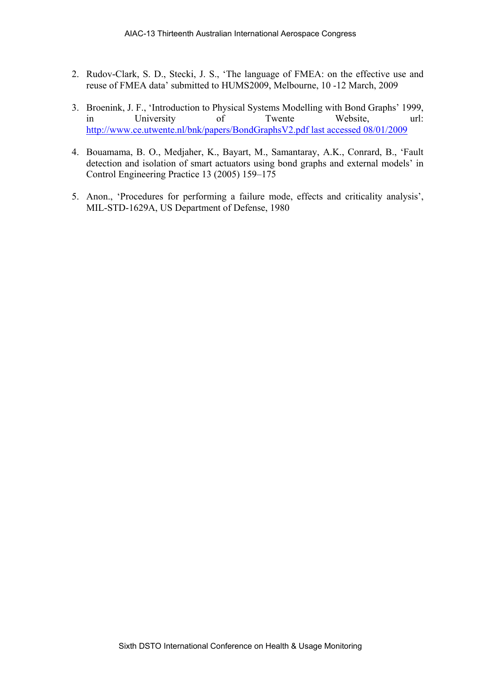- 2. Rudov-Clark, S. D., Stecki, J. S., 'The language of FMEA: on the effective use and reuse of FMEA data' submitted to HUMS2009, Melbourne, 10 -12 March, 2009
- 3. Broenink, J. F., 'Introduction to Physical Systems Modelling with Bond Graphs' 1999, in University of Twente Website, url: [http://www.ce.utwente.nl/bnk/papers/BondGraphsV2.pdf last accessed 08/01/2009](http://www.ce.utwente.nl/bnk/papers/BondGraphsV2.pdf%20last%20accessed%2008/01/2009)
- 4. Bouamama, B. O., Medjaher, K., Bayart, M., Samantaray, A.K., Conrard, B., 'Fault detection and isolation of smart actuators using bond graphs and external models' in Control Engineering Practice 13 (2005) 159–175
- 5. Anon., 'Procedures for performing a failure mode, effects and criticality analysis', MIL-STD-1629A, US Department of Defense, 1980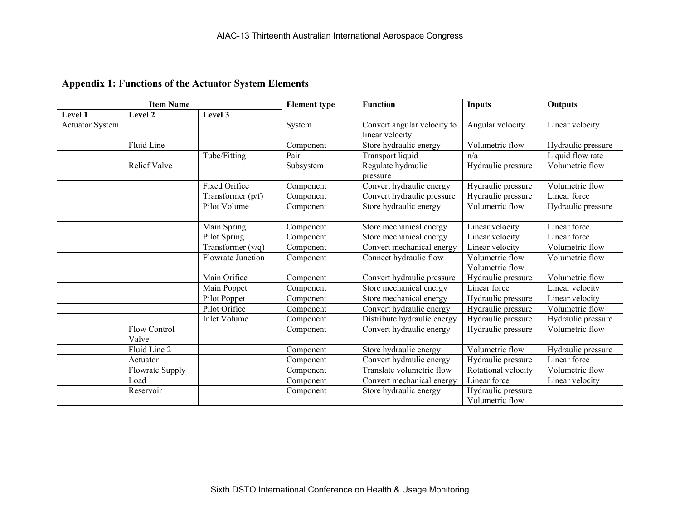# **Appendix 1: Functions of the Actuator System Elements**

|                        | <b>Item Name</b>             |                          | <b>Element type</b> | <b>Function</b>                                | <b>Inputs</b>                         | <b>Outputs</b>     |
|------------------------|------------------------------|--------------------------|---------------------|------------------------------------------------|---------------------------------------|--------------------|
| Level 1                | Level 2                      | Level 3                  |                     |                                                |                                       |                    |
| <b>Actuator System</b> |                              |                          | System              | Convert angular velocity to<br>linear velocity | Angular velocity                      | Linear velocity    |
|                        | Fluid Line                   |                          | Component           | Store hydraulic energy                         | Volumetric flow                       | Hydraulic pressure |
|                        |                              | Tube/Fitting             | Pair                | Transport liquid                               | n/a                                   | Liquid flow rate   |
|                        | <b>Relief Valve</b>          |                          | Subsystem           | Regulate hydraulic<br>pressure                 | Hydraulic pressure                    | Volumetric flow    |
|                        |                              | <b>Fixed Orifice</b>     | Component           | Convert hydraulic energy                       | Hydraulic pressure                    | Volumetric flow    |
|                        |                              | Transformer $(p/f)$      | Component           | Convert hydraulic pressure                     | Hydraulic pressure                    | Linear force       |
|                        |                              | Pilot Volume             | Component           | Store hydraulic energy                         | Volumetric flow                       | Hydraulic pressure |
|                        |                              | Main Spring              | Component           | Store mechanical energy                        | Linear velocity                       | Linear force       |
|                        |                              | Pilot Spring             | Component           | Store mechanical energy                        | Linear velocity                       | Linear force       |
|                        |                              | Transformer $(v/q)$      | Component           | Convert mechanical energy                      | Linear velocity                       | Volumetric flow    |
|                        |                              | <b>Flowrate Junction</b> | Component           | Connect hydraulic flow                         | Volumetric flow<br>Volumetric flow    | Volumetric flow    |
|                        |                              | Main Orifice             | Component           | Convert hydraulic pressure                     | Hydraulic pressure                    | Volumetric flow    |
|                        |                              | Main Poppet              | Component           | Store mechanical energy                        | Linear force                          | Linear velocity    |
|                        |                              | Pilot Poppet             | Component           | Store mechanical energy                        | Hydraulic pressure                    | Linear velocity    |
|                        |                              | Pilot Orifice            | Component           | Convert hydraulic energy                       | Hydraulic pressure                    | Volumetric flow    |
|                        |                              | <b>Inlet Volume</b>      | Component           | Distribute hydraulic energy                    | Hydraulic pressure                    | Hydraulic pressure |
|                        | <b>Flow Control</b><br>Valve |                          | Component           | Convert hydraulic energy                       | Hydraulic pressure                    | Volumetric flow    |
|                        | Fluid Line 2                 |                          | Component           | Store hydraulic energy                         | Volumetric flow                       | Hydraulic pressure |
|                        | Actuator                     |                          | Component           | Convert hydraulic energy                       | Hydraulic pressure                    | Linear force       |
|                        | Flowrate Supply              |                          | Component           | Translate volumetric flow                      | Rotational velocity                   | Volumetric flow    |
|                        | Load                         |                          | Component           | Convert mechanical energy                      | Linear force                          | Linear velocity    |
|                        | Reservoir                    |                          | Component           | Store hydraulic energy                         | Hydraulic pressure<br>Volumetric flow |                    |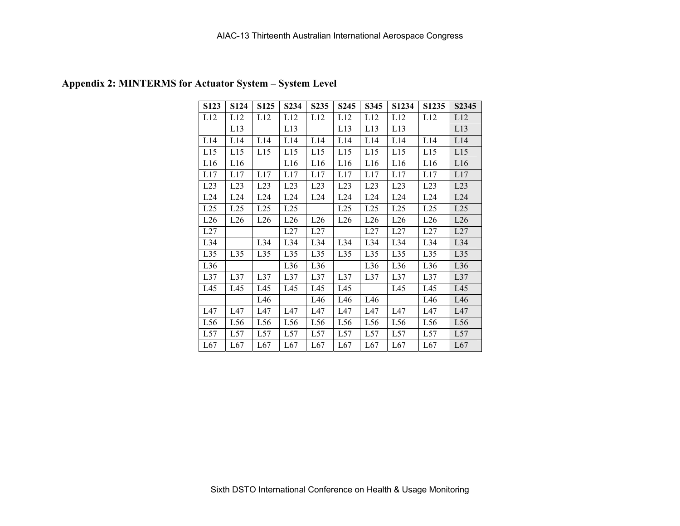| S123 | S124            | S125 | S234            | S <sub>235</sub> | S <sub>245</sub> | S345            | S1234           | S1235           | S <sub>2</sub> 345 |
|------|-----------------|------|-----------------|------------------|------------------|-----------------|-----------------|-----------------|--------------------|
| L12  | L12             | L12  | L12             | L12              | L12              | L12             | L12             | L12             | L12                |
|      | L13             |      | L13             |                  | L13              | L13             | L13             |                 | L13                |
| L14  | L14             | L14  | L14             | L14              | L14              | L14             | L14             | L14             | L14                |
| L15  | L15             | L15  | L15             | L15              | L15              | L15             | L15             | L15             | L15                |
| L16  | L16             |      | L16             | L16              | L16              | L16             | L16             | L16             | L16                |
| L17  | L17             | L17  | L17             | L17              | L17              | L17             | L17             | L17             | L17                |
| L23  | L23             | L23  | L23             | L23              | L23              | L23             | L23             | L23             | L23                |
| L24  | L24             | L24  | L24             | L24              | L24              | L24             | L24             | L24             | L24                |
| L25  | L25             | L25  | L25             |                  | L25              | L25             | L25             | L25             | L25                |
| L26  | L26             | L26  | L26             | L26              | L26              | L26             | L26             | L26             | L26                |
| L27  |                 |      | L27             | L27              |                  | L27             | L27             | L27             | L27                |
| L34  |                 | L34  | L34             | L34              | L34              | L34             | L34             | L34             | L34                |
| L35  | L35             | L35  | L35             | L35              | L35              | L35             | L35             | L35             | L35                |
| L36  |                 |      | L36             | L36              |                  | L36             | L36             | L36             | L36                |
| L37  | L37             | L37  | L37             | L37              | L37              | L37             | L37             | L37             | L37                |
| L45  | L45             | L45  | L45             | L45              | L45              |                 | L45             | L45             | L45                |
|      |                 | L46  |                 | L46              | L46              | L46             |                 | L46             | L46                |
| L47  | L47             | L47  | L47             | L47              | L47              | L47             | L47             | L47             | L47                |
| L56  | L <sub>56</sub> | L56  | L <sub>56</sub> | L56              | L56              | L <sub>56</sub> | L <sub>56</sub> | L <sub>56</sub> | L <sub>56</sub>    |
| L57  | L57             | L57  | L57             | L57              | L57              | L57             | L57             | L57             | L57                |
| L67  | L67             | L67  | L67             | L67              | L67              | L67             | L67             | L67             | L67                |

# **Appendix 2: MINTERMS for Actuator System – System Level**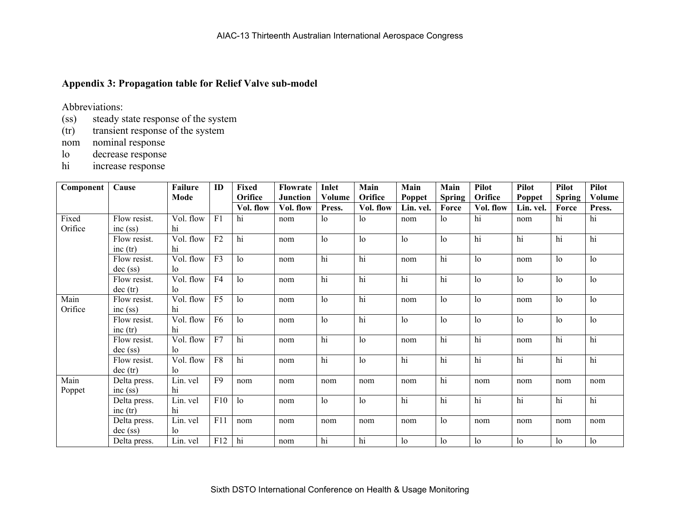### **Appendix 3: Propagation table for Relief Valve sub-model**

Abbreviations:

- (ss) steady state response of the system
- (tr) transient response of the system
- nom nominal response
- lo decrease response
- hi increase response

| Component        | Cause                      | <b>Failure</b>  | ID              | <b>Fixed</b><br>Orifice | Flowrate                     | Inlet            | Main<br>Orifice | Main                | Main                   | <b>Pilot</b><br>Orifice | <b>Pilot</b>        | <b>Pilot</b>           | <b>Pilot</b>     |
|------------------|----------------------------|-----------------|-----------------|-------------------------|------------------------------|------------------|-----------------|---------------------|------------------------|-------------------------|---------------------|------------------------|------------------|
|                  |                            | Mode            |                 | Vol. flow               | <b>Junction</b><br>Vol. flow | Volume<br>Press. | Vol. flow       | Poppet<br>Lin. vel. | <b>Spring</b><br>Force | Vol. flow               | Poppet<br>Lin. vel. | <b>Spring</b><br>Force | Volume<br>Press. |
| Fixed<br>Orifice | Flow resist.<br>inc (ss)   | Vol. flow<br>hi | F1              | hi                      | nom                          | 1 <sub>o</sub>   | 1 <sub>o</sub>  | nom                 | 1 <sub>o</sub>         | hi                      | nom                 | hi                     | hi               |
|                  | Flow resist.<br>inc (tr)   | Vol. flow<br>hi | F2              | hi                      | nom                          | 1 <sub>0</sub>   | 1 <sub>0</sub>  | 1 <sub>o</sub>      | 1 <sub>0</sub>         | hi                      | hi                  | hi                     | hi               |
|                  | Flow resist.<br>$dec$ (ss) | Vol. flow<br>lo | F <sub>3</sub>  | 1 <sub>o</sub>          | nom                          | hi               | hi              | nom                 | hi                     | 1 <sub>o</sub>          | nom                 | 1 <sub>o</sub>         | 1 <sub>o</sub>   |
|                  | Flow resist.<br>dec (tr)   | Vol. flow<br>lo | F4              | 1 <sub>o</sub>          | nom                          | hi               | $\overline{hi}$ | hi                  | hi                     | 1 <sub>0</sub>          | $\log$              | $\log$                 | 1 <sub>o</sub>   |
| Main<br>Orifice  | Flow resist.<br>inc (ss)   | Vol. flow<br>hi | $\overline{F5}$ | 1 <sub>o</sub>          | nom                          | 1 <sub>0</sub>   | $\overline{hi}$ | nom                 | 1 <sub>o</sub>         | 1 <sub>o</sub>          | nom                 | $\log$                 | 1 <sub>o</sub>   |
|                  | Flow resist.<br>inc (tr)   | Vol. flow<br>hi | F <sub>6</sub>  | 1 <sub>o</sub>          | nom                          | 1 <sub>0</sub>   | hi              | 1 <sub>o</sub>      | 1 <sub>o</sub>         | 1 <sub>o</sub>          | $\log$              | $\log$                 | 1 <sub>o</sub>   |
|                  | Flow resist.<br>$dec$ (ss) | Vol. flow<br>lo | F7              | $\overline{hi}$         | nom                          | hi               | 1 <sub>o</sub>  | nom                 | hi                     | hi                      | nom                 | hi                     | hi               |
|                  | Flow resist.<br>dec (tr)   | Vol. flow<br>lo | F8              | hi                      | nom                          | hi               | 1 <sub>0</sub>  | hi                  | $\overline{hi}$        | hi                      | hi                  | hi                     | hi               |
| Main<br>Poppet   | Delta press.<br>inc (ss)   | Lin. vel<br>hi  | F <sub>9</sub>  | nom                     | nom                          | nom              | nom             | nom                 | hi                     | nom                     | nom                 | nom                    | nom              |
|                  | Delta press.<br>inc $(tr)$ | Lin. vel<br>hi  | F10             | 1 <sub>o</sub>          | nom                          | 1 <sub>0</sub>   | 1 <sub>0</sub>  | hi                  | hi                     | hi                      | hi                  | hi                     | hi               |
|                  | Delta press.<br>$dec$ (ss) | Lin. vel<br>lo  | F11             | nom                     | nom                          | nom              | nom             | nom                 | 1 <sub>o</sub>         | nom                     | nom                 | nom                    | nom              |
|                  | Delta press.               | Lin. vel        | F12             | hi                      | nom                          | hi               | hi              | 1 <sub>o</sub>      | $\log$                 | 1 <sub>o</sub>          | $\log$              | $\log$                 | 1 <sub>0</sub>   |